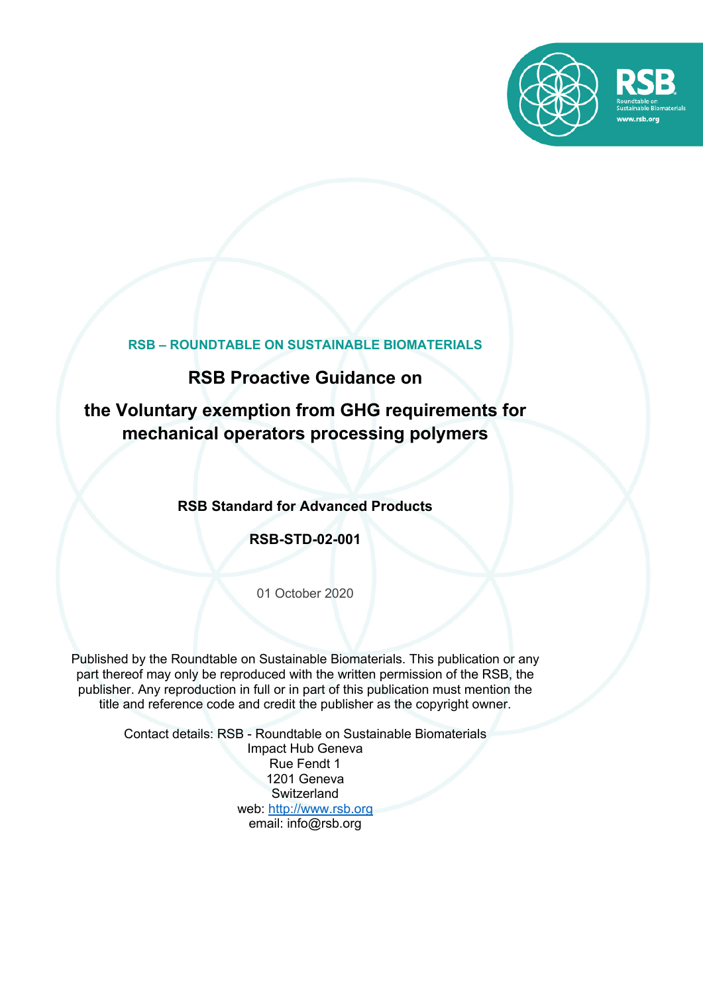

## **RSB – ROUNDTABLE ON SUSTAINABLE BIOMATERIALS**

# **RSB Proactive Guidance on**

# **the Voluntary exemption from GHG requirements for mechanical operators processing polymers**

## **RSB Standard for Advanced Products**

## **RSB-STD-02-001**

01 October 2020

Published by the Roundtable on Sustainable Biomaterials. This publication or any part thereof may only be reproduced with the written permission of the RSB, the publisher. Any reproduction in full or in part of this publication must mention the title and reference code and credit the publisher as the copyright owner.

> Contact details: RSB - Roundtable on Sustainable Biomaterials Impact Hub Geneva Rue Fendt 1 1201 Geneva **Switzerland** web: http://www.rsb.org email: info@rsb.org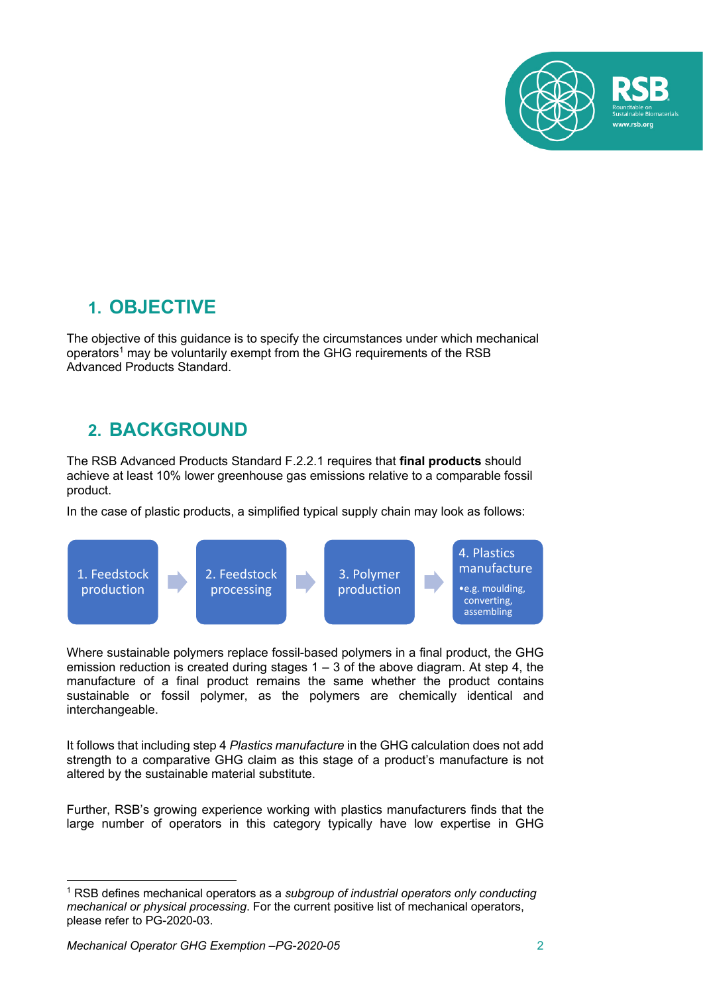

# **1. OBJECTIVE**

The objective of this guidance is to specify the circumstances under which mechanical operators<sup>1</sup> may be voluntarily exempt from the GHG requirements of the RSB Advanced Products Standard.

# **2. BACKGROUND**

The RSB Advanced Products Standard F.2.2.1 requires that **final products** should achieve at least 10% lower greenhouse gas emissions relative to a comparable fossil product.

In the case of plastic products, a simplified typical supply chain may look as follows:



Where sustainable polymers replace fossil-based polymers in a final product, the GHG emission reduction is created during stages  $1 - 3$  of the above diagram. At step 4, the manufacture of a final product remains the same whether the product contains sustainable or fossil polymer, as the polymers are chemically identical and interchangeable.

It follows that including step 4 *Plastics manufacture* in the GHG calculation does not add strength to a comparative GHG claim as this stage of a product's manufacture is not altered by the sustainable material substitute.

Further, RSB's growing experience working with plastics manufacturers finds that the large number of operators in this category typically have low expertise in GHG

<sup>1</sup> RSB defines mechanical operators as a *subgroup of industrial operators only conducting mechanical or physical processing*. For the current positive list of mechanical operators, please refer to PG-2020-03.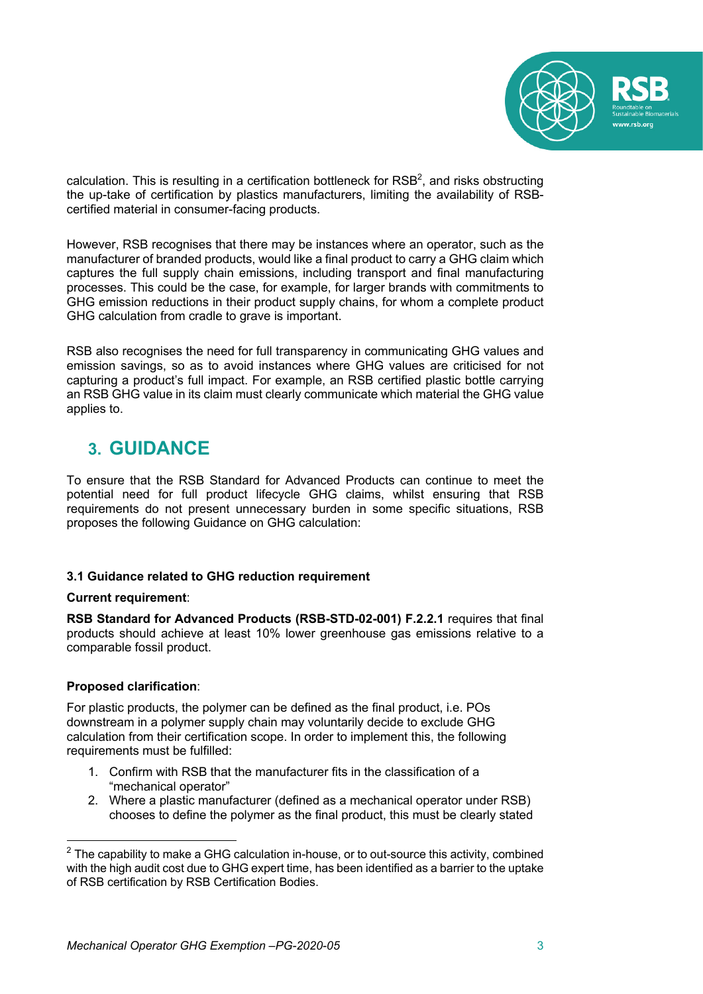

calculation. This is resulting in a certification bottleneck for  $RSB<sup>2</sup>$ , and risks obstructing the up-take of certification by plastics manufacturers, limiting the availability of RSBcertified material in consumer-facing products.

However, RSB recognises that there may be instances where an operator, such as the manufacturer of branded products, would like a final product to carry a GHG claim which captures the full supply chain emissions, including transport and final manufacturing processes. This could be the case, for example, for larger brands with commitments to GHG emission reductions in their product supply chains, for whom a complete product GHG calculation from cradle to grave is important.

RSB also recognises the need for full transparency in communicating GHG values and emission savings, so as to avoid instances where GHG values are criticised for not capturing a product's full impact. For example, an RSB certified plastic bottle carrying an RSB GHG value in its claim must clearly communicate which material the GHG value applies to.

# **3. GUIDANCE**

To ensure that the RSB Standard for Advanced Products can continue to meet the potential need for full product lifecycle GHG claims, whilst ensuring that RSB requirements do not present unnecessary burden in some specific situations, RSB proposes the following Guidance on GHG calculation:

### **3.1 Guidance related to GHG reduction requirement**

### **Current requirement**:

**RSB Standard for Advanced Products (RSB-STD-02-001) F.2.2.1** requires that final products should achieve at least 10% lower greenhouse gas emissions relative to a comparable fossil product.

### **Proposed clarification**:

For plastic products, the polymer can be defined as the final product, i.e. POs downstream in a polymer supply chain may voluntarily decide to exclude GHG calculation from their certification scope. In order to implement this, the following requirements must be fulfilled:

- 1. Confirm with RSB that the manufacturer fits in the classification of a "mechanical operator"
- 2. Where a plastic manufacturer (defined as a mechanical operator under RSB) chooses to define the polymer as the final product, this must be clearly stated

 $2$  The capability to make a GHG calculation in-house, or to out-source this activity, combined with the high audit cost due to GHG expert time, has been identified as a barrier to the uptake of RSB certification by RSB Certification Bodies.